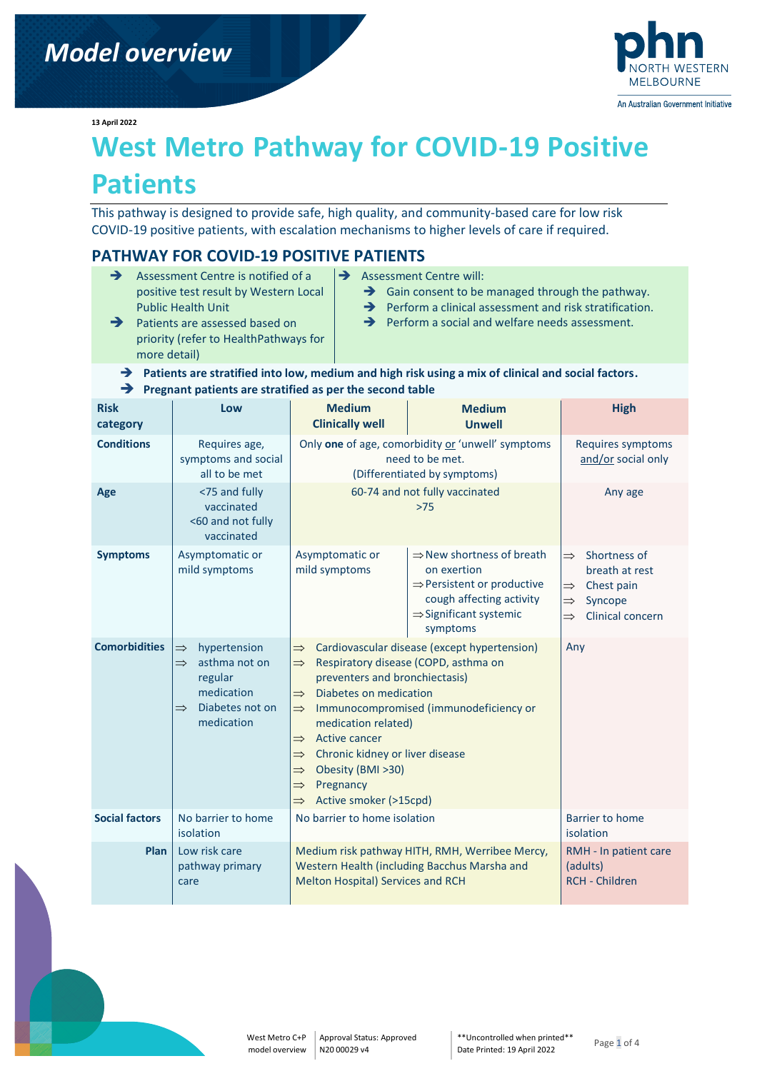

**13 April 2022**

# **West Metro Pathway for COVID-19 Positive**

# **Patients**

This pathway is designed to provide safe, high quality, and community-based care for low risk COVID-19 positive patients, with escalation mechanisms to higher levels of care if required.

# **PATHWAY FOR COVID-19 POSITIVE PATIENTS**

- **→** Assessment Centre is notified of a positive test result by Western Local Public Health Unit
- **→** Assessment Centre will:
	- **→** Gain consent to be managed through the pathway.
	- $\rightarrow$  Perform a clinical assessment and risk stratification.
	- **→** Perform a social and welfare needs assessment.
- **→** Patients are assessed based on priority (refer to HealthPathways for more detail)

#### ➔ **Patients are stratified into low, medium and high risk using a mix of clinical and social factors.** ➔ **Pregnant patients are stratified as per the second table**

| <b>Risk</b><br>category | Low                                                                                                                                        | <b>Medium</b><br><b>Clinically well</b>                                                                                                                                                                                                                                                                                                                                                                                                                                                    | <b>Medium</b><br><b>Unwell</b>                                                                                                                                               | <b>High</b>                                                                                                                                     |
|-------------------------|--------------------------------------------------------------------------------------------------------------------------------------------|--------------------------------------------------------------------------------------------------------------------------------------------------------------------------------------------------------------------------------------------------------------------------------------------------------------------------------------------------------------------------------------------------------------------------------------------------------------------------------------------|------------------------------------------------------------------------------------------------------------------------------------------------------------------------------|-------------------------------------------------------------------------------------------------------------------------------------------------|
| <b>Conditions</b>       | Requires age,<br>symptoms and social<br>all to be met                                                                                      | Only one of age, comorbidity or 'unwell' symptoms<br>need to be met.<br>(Differentiated by symptoms)                                                                                                                                                                                                                                                                                                                                                                                       |                                                                                                                                                                              | Requires symptoms<br>and/or social only                                                                                                         |
| Age                     | <75 and fully<br>vaccinated<br><60 and not fully<br>vaccinated                                                                             | 60-74 and not fully vaccinated<br>$>75$                                                                                                                                                                                                                                                                                                                                                                                                                                                    |                                                                                                                                                                              | Any age                                                                                                                                         |
| <b>Symptoms</b>         | Asymptomatic or<br>mild symptoms                                                                                                           | Asymptomatic or<br>mild symptoms                                                                                                                                                                                                                                                                                                                                                                                                                                                           | $\Rightarrow$ New shortness of breath<br>on exertion<br>$\Rightarrow$ Persistent or productive<br>cough affecting activity<br>$\Rightarrow$ Significant systemic<br>symptoms | Shortness of<br>$\Rightarrow$<br>breath at rest<br>Chest pain<br>$\Rightarrow$<br>Syncope<br>$\Rightarrow$<br>Clinical concern<br>$\Rightarrow$ |
| <b>Comorbidities</b>    | hypertension<br>$\Rightarrow$<br>asthma not on<br>$\Rightarrow$<br>regular<br>medication<br>Diabetes not on<br>$\Rightarrow$<br>medication | Cardiovascular disease (except hypertension)<br>$\Rightarrow$<br>Respiratory disease (COPD, asthma on<br>$\Rightarrow$<br>preventers and bronchiectasis)<br>Diabetes on medication<br>$\Rightarrow$<br>Immunocompromised (immunodeficiency or<br>$\Rightarrow$<br>medication related)<br>Active cancer<br>$\Rightarrow$<br>Chronic kidney or liver disease<br>$\Rightarrow$<br>Obesity (BMI >30)<br>$\Rightarrow$<br>Pregnancy<br>$\Rightarrow$<br>Active smoker (>15cpd)<br>$\Rightarrow$ |                                                                                                                                                                              | Any                                                                                                                                             |
| <b>Social factors</b>   | No barrier to home<br>isolation                                                                                                            | No barrier to home isolation                                                                                                                                                                                                                                                                                                                                                                                                                                                               |                                                                                                                                                                              | <b>Barrier to home</b><br>isolation                                                                                                             |
| Plan                    | Low risk care<br>pathway primary<br>care                                                                                                   | Melton Hospital) Services and RCH                                                                                                                                                                                                                                                                                                                                                                                                                                                          | Medium risk pathway HITH, RMH, Werribee Mercy,<br>Western Health (including Bacchus Marsha and                                                                               | RMH - In patient care<br>(adults)<br><b>RCH - Children</b>                                                                                      |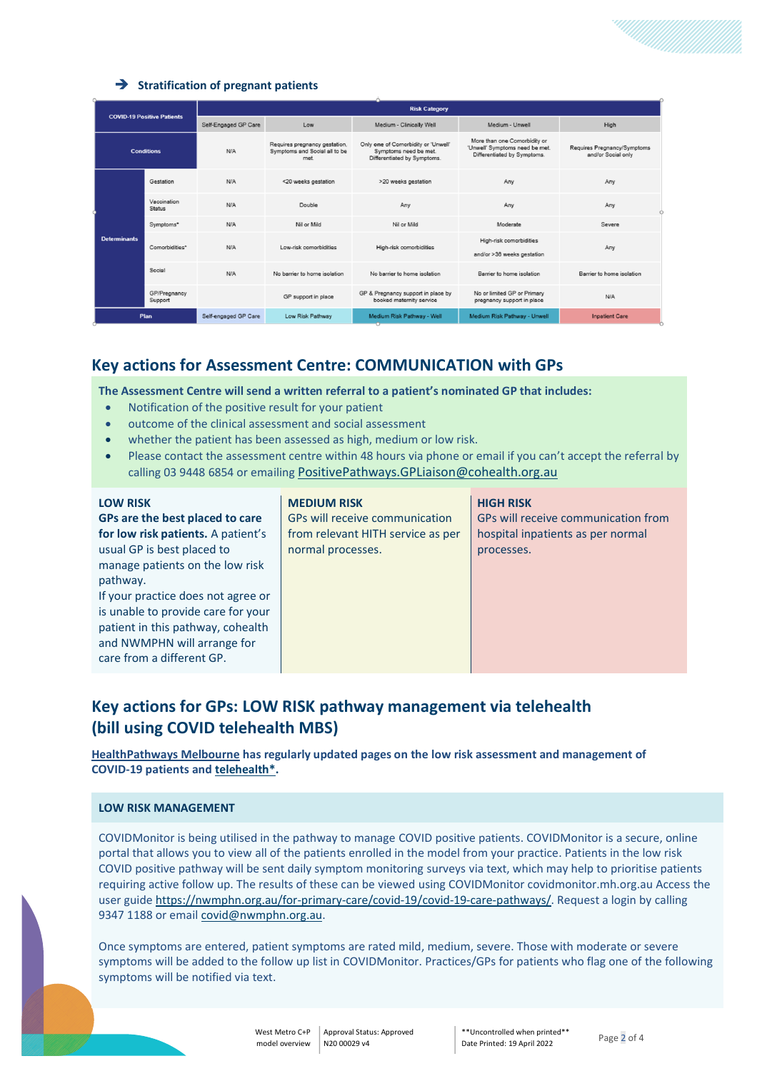#### ➔ **Stratification of pregnant patients**

| <b>COVID-19 Positive Patients</b> |                              | <b>Risk Category</b> |                                                                        |                                                                                             |                                                                                               |                                                   |
|-----------------------------------|------------------------------|----------------------|------------------------------------------------------------------------|---------------------------------------------------------------------------------------------|-----------------------------------------------------------------------------------------------|---------------------------------------------------|
|                                   |                              | Self-Engaged GP Care | Low                                                                    | Medium - Clinically Well                                                                    | Medium - Unwell                                                                               | High                                              |
| <b>Conditions</b>                 |                              | N/A                  | Requires pregnancy gestation,<br>Symptoms and Social all to be<br>met. | Only one of Comorbidity or 'Unwell'<br>Symptoms need be met.<br>Differentiated by Symptoms. | More than one Comorbidity or<br>'Unwell' Symptoms need be met.<br>Differentiated by Symptoms. | Requires Pregnancy/Symptoms<br>and/or Social only |
|                                   | Gestation                    | N/A                  | <20 weeks gestation                                                    | >20 weeks gestation                                                                         | Any                                                                                           | Any                                               |
|                                   | Vaccination<br><b>Status</b> | N/A                  | Double                                                                 | Any                                                                                         | Any                                                                                           | Any                                               |
|                                   | Symptoms*                    | N/A                  | Nil or Mild                                                            | Nil or Mild                                                                                 | Moderate                                                                                      | Severe                                            |
| <b>Determinants</b>               | Comorbidities*               | N/A                  | Low-risk comorbidities                                                 | High-risk comorbidities                                                                     | High-risk comorbidities<br>and/or >36 weeks gestation                                         | Any                                               |
|                                   | Social                       | N/A                  | No barrier to home isolation                                           | No barrier to home isolation                                                                | Barrier to home isolation                                                                     | Barrier to home isolation                         |
|                                   | GP/Pregnancy<br>Support      |                      | GP support in place                                                    | GP & Pregnancy support in place by<br>booked maternity service                              | No or limited GP or Primary<br>pregnancy support in place                                     | N/A                                               |
| Plan                              |                              | Self-engaged GP Care | Low Risk Pathway                                                       | Medium Risk Pathway - Well                                                                  | Medium Risk Pathway - Unwell                                                                  | <b>Inpatient Care</b>                             |

# **Key actions for Assessment Centre: COMMUNICATION with GPs**

**The Assessment Centre will send a written referral to a patient's nominated GP that includes:** 

- Notification of the positive result for your patient
- outcome of the clinical assessment and social assessment
- whether the patient has been assessed as high, medium or low risk.
- Please contact the assessment centre within 48 hours via phone or email if you can't accept the referral by calling 03 9448 6854 or emailing [PositivePathways.GPLiaison@cohealth.org.au](mailto:PositivePathways.GPLiaison@cohealth.org.au)

| <b>LOW RISK</b>                    | <b>MEDIUM RISK</b>                | <b>HIGH RISK</b>                    |
|------------------------------------|-----------------------------------|-------------------------------------|
| GPs are the best placed to care    | GPs will receive communication    | GPs will receive communication from |
| for low risk patients. A patient's | from relevant HITH service as per | hospital inpatients as per normal   |
| usual GP is best placed to         | normal processes.                 | processes.                          |
| manage patients on the low risk    |                                   |                                     |
| pathway.                           |                                   |                                     |
| If your practice does not agree or |                                   |                                     |
| is unable to provide care for your |                                   |                                     |
| patient in this pathway, cohealth  |                                   |                                     |
| and NWMPHN will arrange for        |                                   |                                     |
| care from a different GP.          |                                   |                                     |

# **Key actions for GPs: LOW RISK pathway management via telehealth (bill using COVID telehealth MBS)**

**[HealthPathways Melbourne](https://melbourne.healthpathways.org.au/) has regularly updated pages on the [low risk assessment and management of](https://melbourne.healthpathways.org.au/index.htm?723535.htm)  [COVID-19 patients](https://melbourne.healthpathways.org.au/index.htm?723535.htm) an[d telehealth\\*.](https://melbourne.healthpathways.org.au/80443.htm)**

#### **LOW RISK MANAGEMENT**

COVIDMonitor is being utilised in the pathway to manage COVID positive patients. COVIDMonitor is a secure, online portal that allows you to view all of the patients enrolled in the model from your practice. Patients in the low risk COVID positive pathway will be sent daily symptom monitoring surveys via text, which may help to prioritise patients requiring active follow up. The results of these can be viewed using COVIDMonitor covidmonitor.mh.org.au Access the user guide [https://nwmphn.org.au/for-primary-care/covid-19/covid-19-care-pathways/.](https://nwmphn.org.au/for-primary-care/covid-19/covid-19-care-pathways/) Request a login by calling 9347 1188 or email [covid@nwmphn.org.au.](mailto:covid@nwmphn.org.au)

Once symptoms are entered, patient symptoms are rated mild, medium, severe. Those with moderate or severe symptoms will be added to the follow up list in COVIDMonitor. Practices/GPs for patients who flag one of the following symptoms will be notified via text.

West Metro C+P Approval Status: Approved model overview N20 00029 v4

\*\*Uncontrolled when printed\*\* Date Printed: 19 April 2022 Page 2 of 4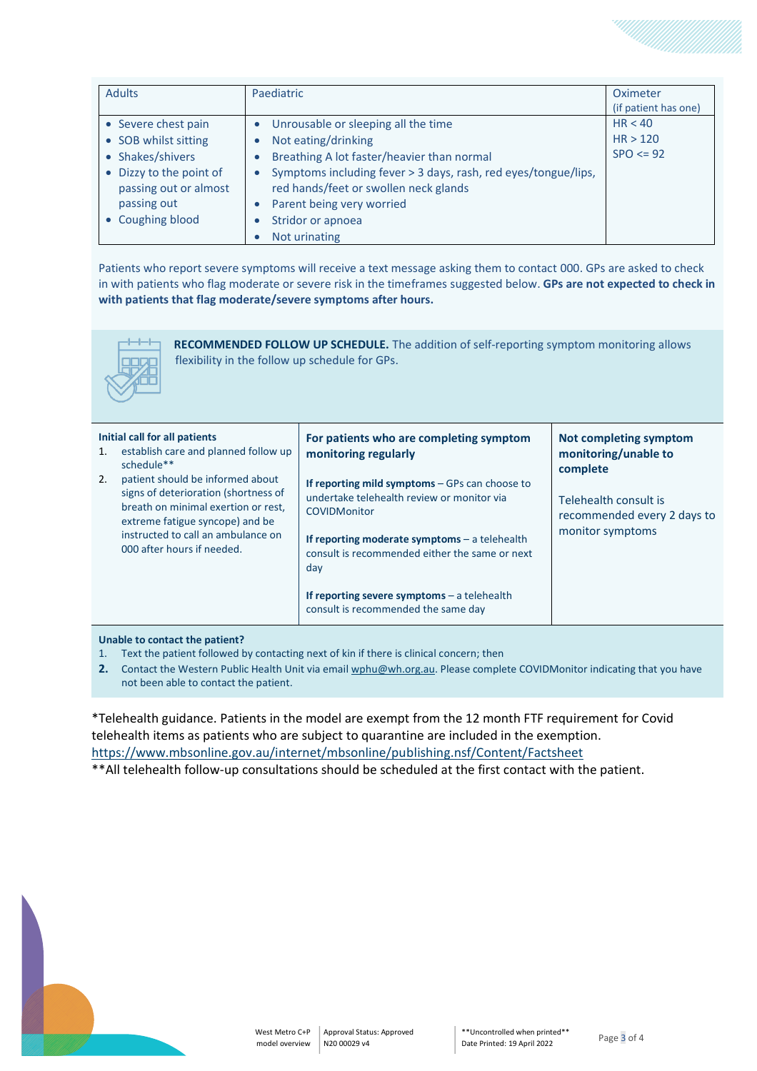| <b>Adults</b>                                    | Paediatric                                                                                                           | Oximeter             |
|--------------------------------------------------|----------------------------------------------------------------------------------------------------------------------|----------------------|
|                                                  |                                                                                                                      | (if patient has one) |
| • Severe chest pain                              | Unrousable or sleeping all the time<br>$\bullet$                                                                     | HR < 40              |
| • SOB whilst sitting                             | Not eating/drinking<br>$\bullet$                                                                                     | HR > 120             |
| • Shakes/shivers                                 | Breathing A lot faster/heavier than normal<br>$\bullet$                                                              | $SPO \le 92$         |
| • Dizzy to the point of<br>passing out or almost | Symptoms including fever > 3 days, rash, red eyes/tongue/lips,<br>$\bullet$<br>red hands/feet or swollen neck glands |                      |
| passing out                                      | Parent being very worried<br>$\bullet$                                                                               |                      |
| • Coughing blood                                 | Stridor or apnoea<br>$\bullet$                                                                                       |                      |
|                                                  | Not urinating                                                                                                        |                      |

Patients who report severe symptoms will receive a text message asking them to contact 000. GPs are asked to check in with patients who flag moderate or severe risk in the timeframes suggested below. **GPs are not expected to check in with patients that flag moderate/severe symptoms after hours.**



**RECOMMENDED FOLLOW UP SCHEDULE.** The addition of self-reporting symptom monitoring allows flexibility in the follow up schedule for GPs.

| Initial call for all patients<br>establish care and planned follow up<br>1.<br>schedule**<br>patient should be informed about<br>2.<br>signs of deterioration (shortness of<br>breath on minimal exertion or rest,<br>extreme fatigue syncope) and be<br>instructed to call an ambulance on<br>000 after hours if needed. | For patients who are completing symptom<br>monitoring regularly<br>If reporting mild symptoms $-$ GPs can choose to<br>undertake telehealth review or monitor via<br><b>COVIDMonitor</b><br>If reporting moderate symptoms $-$ a telehealth<br>consult is recommended either the same or next<br>day<br>If reporting severe symptoms $-$ a telehealth<br>consult is recommended the same day | Not completing symptom<br>monitoring/unable to<br>complete<br>Telehealth consult is<br>recommended every 2 days to<br>monitor symptoms |
|---------------------------------------------------------------------------------------------------------------------------------------------------------------------------------------------------------------------------------------------------------------------------------------------------------------------------|----------------------------------------------------------------------------------------------------------------------------------------------------------------------------------------------------------------------------------------------------------------------------------------------------------------------------------------------------------------------------------------------|----------------------------------------------------------------------------------------------------------------------------------------|
|---------------------------------------------------------------------------------------------------------------------------------------------------------------------------------------------------------------------------------------------------------------------------------------------------------------------------|----------------------------------------------------------------------------------------------------------------------------------------------------------------------------------------------------------------------------------------------------------------------------------------------------------------------------------------------------------------------------------------------|----------------------------------------------------------------------------------------------------------------------------------------|

#### **Unable to contact the patient?**

- 1. Text the patient followed by contacting next of kin if there is clinical concern; then
- **2.** Contact the Western Public Health Unit via emai[l wphu@wh.org.au.](mailto:wphu@wh.org.au) Please complete COVIDMonitor indicating that you have not been able to contact the patient.

\*Telehealth guidance. Patients in the model are exempt from the 12 month FTF requirement for Covid telehealth items as patients who are subject to quarantine are included in the exemption. <https://www.mbsonline.gov.au/internet/mbsonline/publishing.nsf/Content/Factsheet>

\*\*All telehealth follow-up consultations should be scheduled at the first contact with the patient.